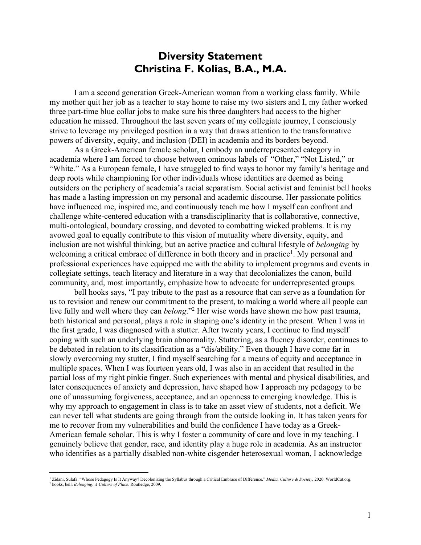## **Diversity Statement Christina F. Kolias, B.A., M.A.**

I am a second generation Greek-American woman from a working class family. While my mother quit her job as a teacher to stay home to raise my two sisters and I, my father worked three part-time blue collar jobs to make sure his three daughters had access to the higher education he missed. Throughout the last seven years of my collegiate journey, I consciously strive to leverage my privileged position in a way that draws attention to the transformative powers of diversity, equity, and inclusion (DEI) in academia and its borders beyond.

As a Greek-American female scholar, I embody an underrepresented category in academia where I am forced to choose between ominous labels of "Other," "Not Listed," or "White." As a European female, I have struggled to find ways to honor my family's heritage and deep roots while championing for other individuals whose identities are deemed as being outsiders on the periphery of academia's racial separatism. Social activist and feminist bell hooks has made a lasting impression on my personal and academic discourse. Her passionate politics have influenced me, inspired me, and continuously teach me how I myself can confront and challenge white-centered education with a transdisciplinarity that is collaborative, connective, multi-ontological, boundary crossing, and devoted to combatting wicked problems. It is my avowed goal to equally contribute to this vision of mutuality where diversity, equity, and inclusion are not wishful thinking, but an active practice and cultural lifestyle of *belonging* by welcoming a critical embrace of difference in both theory and in practice<sup>1</sup>. My personal and professional experiences have equipped me with the ability to implement programs and events in collegiate settings, teach literacy and literature in a way that decolonializes the canon, build community, and, most importantly, emphasize how to advocate for underrepresented groups.

bell hooks says, "I pay tribute to the past as a resource that can serve as a foundation for us to revision and renew our commitment to the present, to making a world where all people can live fully and well where they can *belong*."2 Her wise words have shown me how past trauma, both historical and personal, plays a role in shaping one's identity in the present. When I was in the first grade, I was diagnosed with a stutter. After twenty years, I continue to find myself coping with such an underlying brain abnormality. Stuttering, as a fluency disorder, continues to be debated in relation to its classification as a "dis/ability." Even though I have come far in slowly overcoming my stutter, I find myself searching for a means of equity and acceptance in multiple spaces. When I was fourteen years old, I was also in an accident that resulted in the partial loss of my right pinkie finger. Such experiences with mental and physical disabilities, and later consequences of anxiety and depression, have shaped how I approach my pedagogy to be one of unassuming forgiveness, acceptance, and an openness to emerging knowledge. This is why my approach to engagement in class is to take an asset view of students, not a deficit. We can never tell what students are going through from the outside looking in. It has taken years for me to recover from my vulnerabilities and build the confidence I have today as a Greek-American female scholar. This is why I foster a community of care and love in my teaching. I genuinely believe that gender, race, and identity play a huge role in academia. As an instructor who identifies as a partially disabled non-white cisgender heterosexual woman, I acknowledge

<sup>1</sup> Zidani, Sulafa. "Whose Pedagogy Is It Anyway? Decolonizing the Syllabus through a Critical Embrace of Difference." *Media, Culture & Society*, 2020. WorldCat.org. <sup>2</sup> hooks, bell. *Belonging: A Culture of Place*. Routledge, 2009.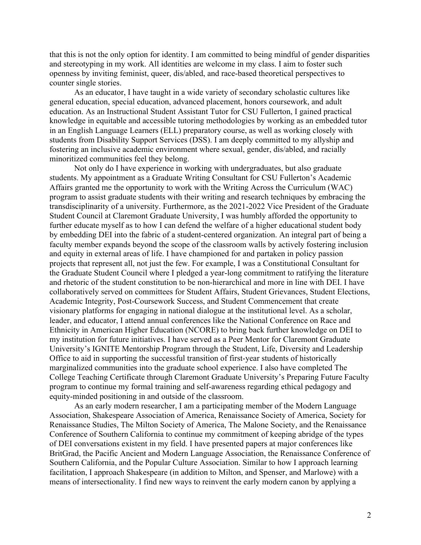that this is not the only option for identity. I am committed to being mindful of gender disparities and stereotyping in my work. All identities are welcome in my class. I aim to foster such openness by inviting feminist, queer, dis/abled, and race-based theoretical perspectives to counter single stories.

As an educator, I have taught in a wide variety of secondary scholastic cultures like general education, special education, advanced placement, honors coursework, and adult education. As an Instructional Student Assistant Tutor for CSU Fullerton, I gained practical knowledge in equitable and accessible tutoring methodologies by working as an embedded tutor in an English Language Learners (ELL) preparatory course, as well as working closely with students from Disability Support Services (DSS). I am deeply committed to my allyship and fostering an inclusive academic environment where sexual, gender, dis/abled, and racially minoritized communities feel they belong.

Not only do I have experience in working with undergraduates, but also graduate students. My appointment as a Graduate Writing Consultant for CSU Fullerton's Academic Affairs granted me the opportunity to work with the Writing Across the Curriculum (WAC) program to assist graduate students with their writing and research techniques by embracing the transdisciplinarity of a university. Furthermore, as the 2021-2022 Vice President of the Graduate Student Council at Claremont Graduate University, I was humbly afforded the opportunity to further educate myself as to how I can defend the welfare of a higher educational student body by embedding DEI into the fabric of a student-centered organization. An integral part of being a faculty member expands beyond the scope of the classroom walls by actively fostering inclusion and equity in external areas of life. I have championed for and partaken in policy passion projects that represent all, not just the few. For example, I was a Constitutional Consultant for the Graduate Student Council where I pledged a year-long commitment to ratifying the literature and rhetoric of the student constitution to be non-hierarchical and more in line with DEI. I have collaboratively served on committees for Student Affairs, Student Grievances, Student Elections, Academic Integrity, Post-Coursework Success, and Student Commencement that create visionary platforms for engaging in national dialogue at the institutional level. As a scholar, leader, and educator, I attend annual conferences like the National Conference on Race and Ethnicity in American Higher Education (NCORE) to bring back further knowledge on DEI to my institution for future initiatives. I have served as a Peer Mentor for Claremont Graduate University's IGNITE Mentorship Program through the Student, Life, Diversity and Leadership Office to aid in supporting the successful transition of first-year students of historically marginalized communities into the graduate school experience. I also have completed The College Teaching Certificate through Claremont Graduate University's Preparing Future Faculty program to continue my formal training and self-awareness regarding ethical pedagogy and equity-minded positioning in and outside of the classroom.

As an early modern researcher, I am a participating member of the Modern Language Association, Shakespeare Association of America, Renaissance Society of America, Society for Renaissance Studies, The Milton Society of America, The Malone Society, and the Renaissance Conference of Southern California to continue my commitment of keeping abridge of the types of DEI conversations existent in my field. I have presented papers at major conferences like BritGrad, the Pacific Ancient and Modern Language Association, the Renaissance Conference of Southern California, and the Popular Culture Association. Similar to how I approach learning facilitation, I approach Shakespeare (in addition to Milton, and Spenser, and Marlowe) with a means of intersectionality. I find new ways to reinvent the early modern canon by applying a